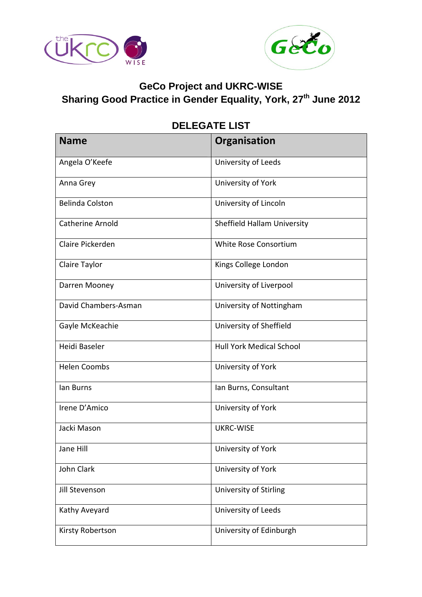



## **GeCo Project and UKRC-WISE**

**Sharing Good Practice in Gender Equality, York, 27th June 2012**

| <b>Name</b>             | Organisation                    |
|-------------------------|---------------------------------|
| Angela O'Keefe          | University of Leeds             |
| Anna Grey               | University of York              |
| <b>Belinda Colston</b>  | University of Lincoln           |
| <b>Catherine Arnold</b> | Sheffield Hallam University     |
| Claire Pickerden        | White Rose Consortium           |
| Claire Taylor           | Kings College London            |
| Darren Mooney           | University of Liverpool         |
| David Chambers-Asman    | University of Nottingham        |
| Gayle McKeachie         | University of Sheffield         |
| Heidi Baseler           | <b>Hull York Medical School</b> |
| <b>Helen Coombs</b>     | University of York              |
| lan Burns               | Ian Burns, Consultant           |
| Irene D'Amico           | University of York              |
| Jacki Mason             | <b>UKRC-WISE</b>                |
| Jane Hill               | University of York              |
| John Clark              | University of York              |
| Jill Stevenson          | University of Stirling          |
| Kathy Aveyard           | University of Leeds             |
| Kirsty Robertson        | University of Edinburgh         |

## **DELEGATE LIST**